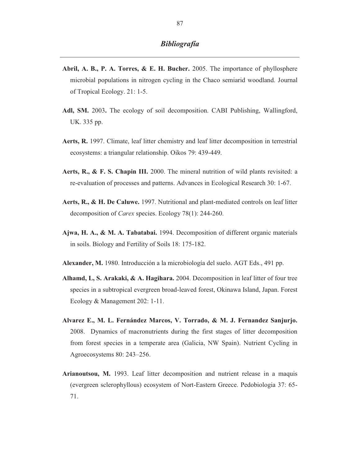- **Abril, A. B., P. A. Torres, & E. H. Bucher.** 2005. The importance of phyllosphere microbial populations in nitrogen cycling in the Chaco semiarid woodland. Journal of Tropical Ecology. 21: 1-5.
- **Adl, SM.** 2003**.** The ecology of soil decomposition. CABI Publishing, Wallingford, UK. 335 pp.
- **Aerts, R.** 1997. Climate, leaf litter chemistry and leaf litter decomposition in terrestrial ecosystems: a triangular relationship. Oikos 79: 439-449.
- **Aerts, R., & F. S. Chapin III.** 2000. The mineral nutrition of wild plants revisited: a re-evaluation of processes and patterns. Advances in Ecological Research 30: 1-67.
- **Aerts, R., & H. De Caluwe.** 1997. Nutritional and plant-mediated controls on leaf litter decomposition of *Carex* species. Ecology 78(1): 244-260.
- **Ajwa, H. A., & M. A. Tabatabai.** 1994. Decomposition of different organic materials in soils. Biology and Fertility of Soils 18: 175-182.
- **Alexander, M.** 1980. Introducción a la microbiología del suelo. AGT Eds., 491 pp.
- **Alhamd, L, S. Arakaki, & A. Hagihara.** 2004. Decomposition in leaf litter of four tree species in a subtropical evergreen broad-leaved forest, Okinawa Island, Japan. Forest Ecology & Management 202: 1-11.
- **Alvarez E., M. L. Fernández Marcos, V. Torrado, & M. J. Fernandez Sanjurjo.**  2008. Dynamics of macronutrients during the first stages of litter decomposition from forest species in a temperate area (Galicia, NW Spain). Nutrient Cycling in Agroecosystems 80: 243–256.
- **Arianoutsou, M.** 1993. Leaf litter decomposition and nutrient release in a maquis (evergreen sclerophyllous) ecosystem of Nort-Eastern Greece. Pedobiologia 37: 65- 71.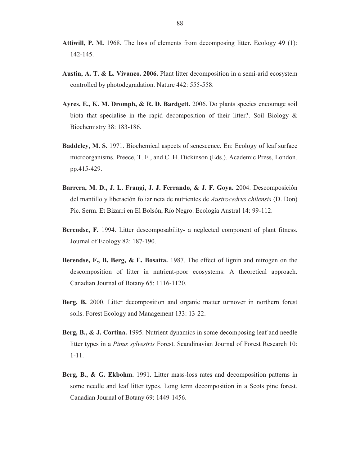- **Attiwill, P. M.** 1968. The loss of elements from decomposing litter. Ecology 49 (1): 142-145.
- **Austin, A. T. & L. Vivanco. 2006.** Plant litter decomposition in a semi-arid ecosystem controlled by photodegradation. Nature 442: 555-558.
- **Ayres, E., K. M. Dromph, & R. D. Bardgett.** 2006. Do plants species encourage soil biota that specialise in the rapid decomposition of their litter?. Soil Biology & Biochemistry 38: 183-186.
- **Baddeley, M. S.** 1971. Biochemical aspects of senescence. En: Ecology of leaf surface microorganisms. Preece, T. F., and C. H. Dickinson (Eds.). Academic Press, London. pp.415-429.
- **Barrera, M. D., J. L. Frangi, J. J. Ferrando, & J. F. Goya.** 2004. Descomposición del mantillo y liberación foliar neta de nutrientes de *Austrocedrus chilensis* (D. Don) Pic. Serm. Et Bizarri en El Bolsón, Río Negro. Ecología Austral 14: 99-112.
- **Berendse, F.** 1994. Litter descomposability- a neglected component of plant fitness. Journal of Ecology 82: 187-190.
- **Berendse, F., B. Berg, & E. Bosatta.** 1987. The effect of lignin and nitrogen on the descomposition of litter in nutrient-poor ecosystems: A theoretical approach. Canadian Journal of Botany 65: 1116-1120.
- **Berg, B.** 2000. Litter decomposition and organic matter turnover in northern forest soils. Forest Ecology and Management 133: 13-22.
- **Berg, B., & J. Cortina.** 1995. Nutrient dynamics in some decomposing leaf and needle litter types in a *Pinus sylvestris* Forest. Scandinavian Journal of Forest Research 10: 1-11.
- **Berg, B., & G. Ekbohm.** 1991. Litter mass-loss rates and decomposition patterns in some needle and leaf litter types. Long term decomposition in a Scots pine forest. Canadian Journal of Botany 69: 1449-1456.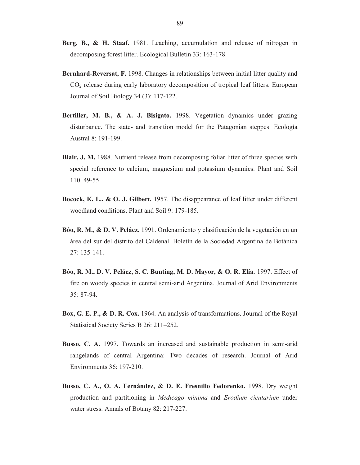- **Berg, B., & H. Staaf.** 1981. Leaching, accumulation and release of nitrogen in decomposing forest litter. Ecological Bulletin 33: 163-178.
- **Bernhard-Reversat, F.** 1998. Changes in relationships between initial litter quality and CO2 release during early laboratory decomposition of tropical leaf litters. European Journal of Soil Biology 34 (3): 117-122.
- **Bertiller, M. B., & A. J. Bisigato.** 1998. Vegetation dynamics under grazing disturbance. The state- and transition model for the Patagonian steppes. Ecología Austral 8: 191-199.
- **Blair, J. M.** 1988. Nutrient release from decomposing foliar litter of three species with special reference to calcium, magnesium and potassium dynamics. Plant and Soil 110: 49-55.
- **Bocock, K. L., & O. J. Gilbert.** 1957. The disappearance of leaf litter under different woodland conditions. Plant and Soil 9: 179-185.
- **Bóo, R. M., & D. V. Peláez.** 1991. Ordenamiento y clasificación de la vegetación en un área del sur del distrito del Caldenal. Boletín de la Sociedad Argentina de Botánica 27: 135-141.
- **Bóo, R. M., D. V. Peláez, S. C. Bunting, M. D. Mayor, & O. R. Elía.** 1997. Effect of fire on woody species in central semi-arid Argentina. Journal of Arid Environments 35: 87-94.
- **Box, G. E. P., & D. R. Cox.** 1964. An analysis of transformations. Journal of the Royal Statistical Society Series B 26: 211–252.
- **Busso, C. A.** 1997. Towards an increased and sustainable production in semi-arid rangelands of central Argentina: Two decades of research. Journal of Arid Environments 36: 197-210.
- **Busso, C. A., O. A. Fernández, & D. E. Fresnillo Fedorenko.** 1998. Dry weight production and partitioning in *Medicago minima* and *Erodium cicutarium* under water stress. Annals of Botany 82: 217-227.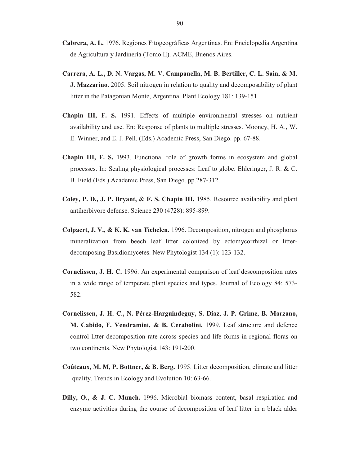- **Cabrera, A. L.** 1976. Regiones Fitogeográficas Argentinas. En: Enciclopedia Argentina de Agricultura y Jardinería (Tomo II). ACME, Buenos Aires.
- **Carrera, A. L., D. N. Vargas, M. V. Campanella, M. B. Bertiller, C. L. Sain, & M. J. Mazzarino.** 2005. Soil nitrogen in relation to quality and decomposability of plant litter in the Patagonian Monte, Argentina. Plant Ecology 181: 139-151.
- **Chapin III, F. S.** 1991. Effects of multiple environmental stresses on nutrient availability and use. En: Response of plants to multiple stresses. Mooney, H. A., W. E. Winner, and E. J. Pell. (Eds.) Academic Press, San Diego. pp. 67-88.
- **Chapin III, F. S.** 1993. Functional role of growth forms in ecosystem and global processes. In: Scaling physiological processes: Leaf to globe. Ehleringer, J. R. & C. B. Field (Eds.) Academic Press, San Diego. pp.287-312.
- **Coley, P. D., J. P. Bryant, & F. S. Chapin III.** 1985. Resource availability and plant antiherbivore defense. Science 230 (4728): 895-899.
- **Colpaert, J. V., & K. K. van Tichelen.** 1996. Decomposition, nitrogen and phosphorus mineralization from beech leaf litter colonized by ectomycorrhizal or litterdecomposing Basidiomycetes. New Phytologist 134 (1): 123-132.
- **Cornelissen, J. H. C.** 1996. An experimental comparison of leaf descomposition rates in a wide range of temperate plant species and types. Journal of Ecology 84: 573- 582.
- **Cornelissen, J. H. C., N. Pérez-Harguindeguy, S. Díaz, J. P. Grime, B. Marzano, M. Cabido, F. Vendramini, & B. Cerabolini.** 1999. Leaf structure and defence control litter decomposition rate across species and life forms in regional floras on two continents. New Phytologist 143: 191-200.
- **Coûteaux, M. M, P. Bottner, & B. Berg.** 1995. Litter decomposition, climate and litter quality. Trends in Ecology and Evolution 10: 63-66.
- **Dilly, O., & J. C. Munch.** 1996. Microbial biomass content, basal respiration and enzyme activities during the course of decomposition of leaf litter in a black alder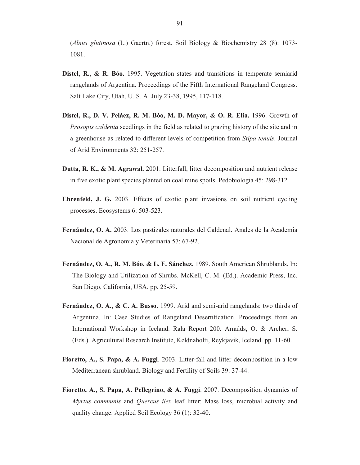(*Alnus glutinosa* (L.) Gaertn.) forest. Soil Biology & Biochemistry 28 (8): 1073- 1081.

- **Distel, R., & R. Bóo.** 1995. Vegetation states and transitions in temperate semiarid rangelands of Argentina. Proceedings of the Fifth International Rangeland Congress. Salt Lake City, Utah, U. S. A. July 23-38, 1995, 117-118.
- **Distel, R., D. V. Peláez, R. M. Bóo, M. D. Mayor, & O. R. Elía.** 1996. Growth of *Prosopis caldenia* seedlings in the field as related to grazing history of the site and in a greenhouse as related to different levels of competition from *Stipa tenuis*. Journal of Arid Environments 32: 251-257.
- **Dutta, R. K., & M. Agrawal.** 2001. Litterfall, litter decomposition and nutrient release in five exotic plant species planted on coal mine spoils. Pedobiologia 45: 298-312.
- **Ehrenfeld, J. G.** 2003. Effects of exotic plant invasions on soil nutrient cycling processes. Ecosystems 6: 503-523.
- **Fernández, O. A.** 2003. Los pastizales naturales del Caldenal. Anales de la Academia Nacional de Agronomía y Veterinaria 57: 67-92.
- **Fernández, O. A., R. M. Bóo, & L. F. Sánchez.** 1989. South American Shrublands. In: The Biology and Utilization of Shrubs. McKell, C. M. (Ed.). Academic Press, Inc. San Diego, California, USA. pp. 25-59.
- **Fernández, O. A., & C. A. Busso.** 1999. Arid and semi-arid rangelands: two thirds of Argentina. In: Case Studies of Rangeland Desertification. Proceedings from an International Workshop in Iceland. Rala Report 200. Arnalds, O. & Archer, S. (Eds.). Agricultural Research Institute, Keldnaholti, Reykjavik, Iceland. pp. 11-60.
- **Fioretto, A., S. Papa, & A. Fuggi**. 2003. Litter-fall and litter decomposition in a low Mediterranean shrubland. Biology and Fertility of Soils 39: 37-44.
- **Fioretto, A., S. Papa, A. Pellegrino, & A. Fuggi**. 2007. Decomposition dynamics of *Myrtus communis* and *Quercus ilex* leaf litter: Mass loss, microbial activity and quality change. Applied Soil Ecology 36 (1): 32-40.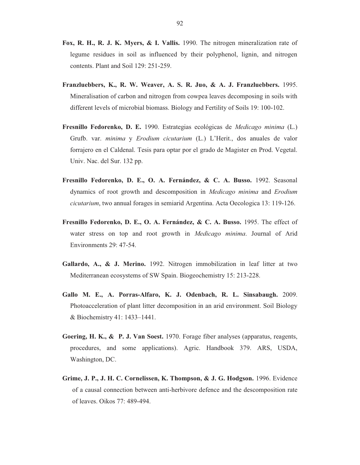- **Fox, R. H., R. J. K. Myers, & I. Vallis.** 1990. The nitrogen mineralization rate of legume residues in soil as influenced by their polyphenol, lignin, and nitrogen contents. Plant and Soil 129: 251-259.
- **Franzluebbers, K., R. W. Weaver, A. S. R. Juo, & A. J. Franzluebbers.** 1995. Mineralisation of carbon and nitrogen from cowpea leaves decomposing in soils with different levels of microbial biomass. Biology and Fertility of Soils 19: 100-102.
- **Fresnillo Fedorenko, D. E.** 1990. Estrategias ecológicas de *Medicago minima* (L.) Grufb. var. *minima* y *Erodium cicutarium* (L.) L'Herit., dos anuales de valor forrajero en el Caldenal. Tesis para optar por el grado de Magister en Prod. Vegetal. Univ. Nac. del Sur. 132 pp.
- **Fresnillo Fedorenko, D. E., O. A. Fernández, & C. A. Busso.** 1992. Seasonal dynamics of root growth and descomposition in *Medicago minima* and *Erodium cicutarium*, two annual forages in semiarid Argentina. Acta Oecologica 13: 119-126.
- **Fresnillo Fedorenko, D. E., O. A. Fernández, & C. A. Busso.** 1995. The effect of water stress on top and root growth in *Medicago minima*. Journal of Arid Environments 29: 47-54.
- **Gallardo, A., & J. Merino.** 1992. Nitrogen immobilization in leaf litter at two Mediterranean ecosystems of SW Spain. Biogeochemistry 15: 213-228.
- **Gallo M. E., A. Porras-Alfaro, K. J. Odenbach, R. L. Sinsabaugh.** 2009. Photoacceleration of plant litter decomposition in an arid environment. Soil Biology & Biochemistry 41: 1433–1441.
- **Goering, H. K., & P. J. Van Soest.** 1970. Forage fiber analyses (apparatus, reagents, procedures, and some applications). Agric. Handbook 379. ARS, USDA, Washington, DC.
- **Grime, J. P., J. H. C. Cornelissen, K. Thompson, & J. G. Hodgson.** 1996. Evidence of a causal connection between anti-herbivore defence and the descomposition rate of leaves. Oikos 77: 489-494.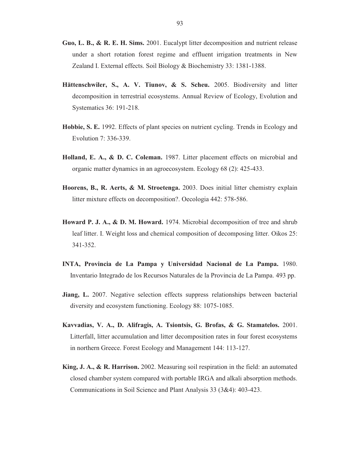- **Guo, L. B., & R. E. H. Sims.** 2001. Eucalypt litter decomposition and nutrient release under a short rotation forest regime and effluent irrigation treatments in New Zealand I. External effects. Soil Biology & Biochemistry 33: 1381-1388.
- **Hättenschwiler, S., A. V. Tiunov, & S. Scheu.** 2005. Biodiversity and litter decomposition in terrestrial ecosystems. Annual Review of Ecology, Evolution and Systematics 36: 191-218.
- **Hobbie, S. E.** 1992. Effects of plant species on nutrient cycling. Trends in Ecology and Evolution 7: 336-339.
- **Holland, E. A., & D. C. Coleman.** 1987. Litter placement effects on microbial and organic matter dynamics in an agroecosystem. Ecology 68 (2): 425-433.
- **Hoorens, B., R. Aerts, & M. Stroetenga.** 2003. Does initial litter chemistry explain litter mixture effects on decomposition?. Oecologia 442: 578-586.
- **Howard P. J. A., & D. M. Howard.** 1974. Microbial decomposition of tree and shrub leaf litter. I. Weight loss and chemical composition of decomposing litter. Oikos 25: 341-352.
- **INTA, Provincia de La Pampa y Universidad Nacional de La Pampa.** 1980. Inventario Integrado de los Recursos Naturales de la Provincia de La Pampa. 493 pp.
- **Jiang, L.** 2007. Negative selection effects suppress relationships between bacterial diversity and ecosystem functioning. Ecology 88: 1075-1085.
- **Kavvadias, V. A., D. Alifragis, A. Tsiontsis, G. Brofas, & G. Stamatelos.** 2001. Litterfall, litter accumulation and litter decomposition rates in four forest ecosystems in northern Greece. Forest Ecology and Management 144: 113-127.
- **King, J. A., & R. Harrison.** 2002. Measuring soil respiration in the field: an automated closed chamber system compared with portable IRGA and alkali absorption methods. Communications in Soil Science and Plant Analysis 33 (3&4): 403-423.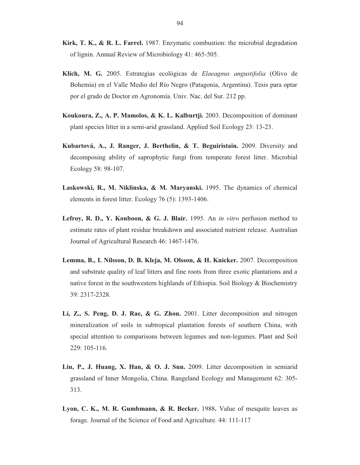- **Kirk, T. K., & R. L. Farrel.** 1987. Enzymatic combustion: the microbial degradation of lignin. Annual Review of Microbiology 41: 465-505.
- **Klich, M. G.** 2005. Estrategias ecológicas de *Elaeagnus angustifolia* (Olivo de Bohemia) en el Valle Medio del Río Negro (Patagonia, Argentina). Tesis para optar por el grado de Doctor en Agronomía. Univ. Nac. del Sur. 212 pp.
- **Koukoura, Z., A. P. Mamolos, & K. L. Kalburtji.** 2003. Decomposition of dominant plant species litter in a semi-arid grassland. Applied Soil Ecology 23: 13-23.
- **Kubartová, A., J. Ranger, J. Berthelin, & T. Beguiristain.** 2009. Diversity and decomposing ability of saprophytic fungi from temperate forest litter. Microbial Ecology 58: 98-107.
- **Laskowski, R., M. Niklinska, & M. Maryanski.** 1995. The dynamics of chemical elements in forest litter. Ecology 76 (5): 1393-1406.
- **Lefroy, R. D., Y. Konboon, & G. J. Blair.** 1995. An *in vitro* perfusion method to estimate rates of plant residue breakdown and associated nutrient release. Australian Journal of Agricultural Research 46: 1467-1476.
- **Lemma, B., I. Nilsson, D. B. Kleja, M. Olsson, & H. Knicker.** 2007. Decomposition and substrate quality of leaf litters and fine roots from three exotic plantations and a native forest in the southwestern highlands of Ethiopia. Soil Biology & Biochemistry 39: 2317-2328.
- **Li, Z., S. Peng, D. J. Rae, & G. Zhou.** 2001. Litter decomposition and nitrogen mineralization of soils in subtropical plantation forests of southern China, with special attention to comparisons between legumes and non-legumes. Plant and Soil 229: 105-116.
- **Liu, P., J. Huang, X. Han, & O. J. Sun.** 2009. Litter decomposition in semiarid grassland of Inner Mongolia, China. Rangeland Ecology and Management 62: 305- 313.
- **Lyon, C. K., M. R. Gumbmann, & R. Becker.** 1988**.** Value of mesquite leaves as forage. Journal of the Science of Food and Agriculture. 44: 111-117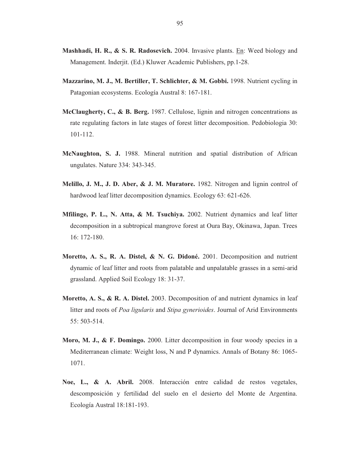- **Mashhadi, H. R., & S. R. Radosevich.** 2004. Invasive plants. En: Weed biology and Management. Inderjit. (Ed.) Kluwer Academic Publishers, pp.1-28.
- **Mazzarino, M. J., M. Bertiller, T. Schlichter, & M. Gobbi.** 1998. Nutrient cycling in Patagonian ecosystems. Ecología Austral 8: 167-181.
- **McClaugherty, C., & B. Berg.** 1987. Cellulose, lignin and nitrogen concentrations as rate regulating factors in late stages of forest litter decomposition. Pedobiologia 30: 101-112.
- **McNaughton, S. J.** 1988. Mineral nutrition and spatial distribution of African ungulates. Nature 334: 343-345.
- **Melillo, J. M., J. D. Aber, & J. M. Muratore.** 1982. Nitrogen and lignin control of hardwood leaf litter decomposition dynamics. Ecology 63: 621-626.
- **Mfilinge, P. L., N. Atta, & M. Tsuchiya.** 2002. Nutrient dynamics and leaf litter decomposition in a subtropical mangrove forest at Oura Bay, Okinawa, Japan. Trees 16: 172-180.
- **Moretto, A. S., R. A. Distel, & N. G. Didoné.** 2001. Decomposition and nutrient dynamic of leaf litter and roots from palatable and unpalatable grasses in a semi-arid grassland. Applied Soil Ecology 18: 31-37.
- **Moretto, A. S., & R. A. Distel.** 2003. Decomposition of and nutrient dynamics in leaf litter and roots of *Poa ligularis* and *Stipa gynerioides*. Journal of Arid Environments 55: 503-514.
- **Moro, M. J., & F. Domingo.** 2000. Litter decomposition in four woody species in a Mediterranean climate: Weight loss, N and P dynamics. Annals of Botany 86: 1065- 1071.
- **Noe, L., & A. Abril.** 2008. Interacción entre calidad de restos vegetales, descomposición y fertilidad del suelo en el desierto del Monte de Argentina. Ecología Austral 18:181-193.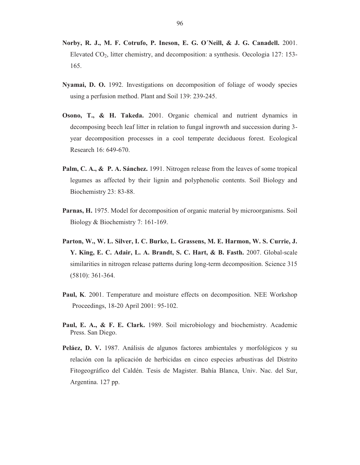- **Norby, R. J., M. F. Cotrufo, P. Ineson, E. G. O´Neill, & J. G. Canadell.** 2001. Elevated CO2, litter chemistry, and decomposition: a synthesis. Oecologia 127: 153- 165.
- **Nyamai, D. O.** 1992. Investigations on decomposition of foliage of woody species using a perfusion method. Plant and Soil 139: 239-245.
- **Osono, T., & H. Takeda.** 2001. Organic chemical and nutrient dynamics in decomposing beech leaf litter in relation to fungal ingrowth and succession during 3 year decomposition processes in a cool temperate deciduous forest. Ecological Research 16: 649-670.
- **Palm, C. A., & P. A. Sánchez.** 1991. Nitrogen release from the leaves of some tropical legumes as affected by their lignin and polyphenolic contents. Soil Biology and Biochemistry 23: 83-88.
- **Parnas, H.** 1975. Model for decomposition of organic material by microorganisms. Soil Biology & Biochemistry 7: 161-169.
- **Parton, W., W. L. Silver, I. C. Burke, L. Grassens, M. E. Harmon, W. S. Currie, J. Y. King, E. C. Adair, L. A. Brandt, S. C. Hart, & B. Fasth.** 2007. Global-scale similarities in nitrogen release patterns during long-term decomposition. Science 315 (5810): 361-364.
- **Paul, K**. 2001. Temperature and moisture effects on decomposition. NEE Workshop Proceedings, 18-20 April 2001: 95-102.
- **Paul, E. A., & F. E. Clark.** 1989. Soil microbiology and biochemistry. Academic Press. San Diego.
- **Peláez, D. V.** 1987. Análisis de algunos factores ambientales y morfológicos y su relación con la aplicación de herbicidas en cinco especies arbustivas del Distrito Fitogeográfico del Caldén. Tesis de Magister. Bahía Blanca, Univ. Nac. del Sur, Argentina. 127 pp.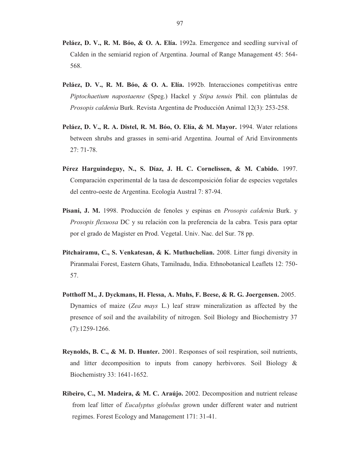- **Peláez, D. V., R. M. Bóo, & O. A. Elía.** 1992a. Emergence and seedling survival of Calden in the semiarid region of Argentina. Journal of Range Management 45: 564- 568.
- **Peláez, D. V., R. M. Bóo, & O. A. Elía.** 1992b. Interacciones competitivas entre *Piptochaetium napostaense* (Speg.) Hackel y *Stipa tenuis* Phil. con plántulas de *Prosopis caldenia* Burk. Revista Argentina de Producción Animal 12(3): 253-258.
- **Peláez, D. V., R. A. Distel, R. M. Bóo, O. Elía, & M. Mayor.** 1994. Water relations between shrubs and grasses in semi-arid Argentina. Journal of Arid Environments 27: 71-78.
- **Pérez Harguindeguy, N., S. Díaz, J. H. C. Cornelissen, & M. Cabido.** 1997. Comparación experimental de la tasa de descomposición foliar de especies vegetales del centro-oeste de Argentina. Ecología Austral 7: 87-94.
- **Pisani, J. M.** 1998. Producción de fenoles y espinas en *Prosopis caldenia* Burk. y *Prosopis flexuosa* DC y su relación con la preferencia de la cabra. Tesis para optar por el grado de Magister en Prod. Vegetal. Univ. Nac. del Sur. 78 pp.
- **Pitchairamu, C., S. Venkatesan, & K. Muthuchelian.** 2008. Litter fungi diversity in Piranmalai Forest, Eastern Ghats, Tamilnadu, India. Ethnobotanical Leaflets 12: 750- 57.
- **Potthoff M., J. Dyckmans, H. Flessa, A. Muhs, F. Beese, & R. G. Joergensen.** 2005. Dynamics of maize (*Zea mays* L.) leaf straw mineralization as affected by the presence of soil and the availability of nitrogen. Soil Biology and Biochemistry 37 (7):1259-1266.
- **Reynolds, B. C., & M. D. Hunter.** 2001. Responses of soil respiration, soil nutrients, and litter decomposition to inputs from canopy herbivores. Soil Biology & Biochemistry 33: 1641-1652.
- **Ribeiro, C., M. Madeira, & M. C. Araújo.** 2002. Decomposition and nutrient release from leaf litter of *Eucalyptus globulus* grown under different water and nutrient regimes. Forest Ecology and Management 171: 31-41.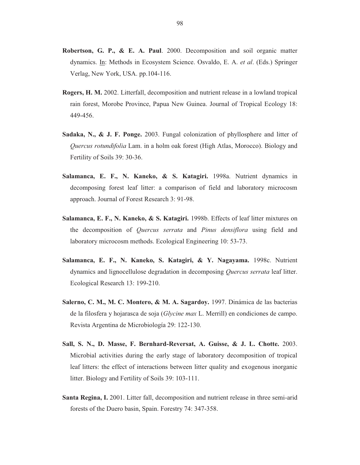- **Robertson, G. P., & E. A. Paul**. 2000. Decomposition and soil organic matter dynamics. In: Methods in Ecosystem Science. Osvaldo, E. A. *et al*. (Eds.) Springer Verlag, New York, USA. pp.104-116.
- **Rogers, H. M.** 2002. Litterfall, decomposition and nutrient release in a lowland tropical rain forest, Morobe Province, Papua New Guinea. Journal of Tropical Ecology 18: 449-456.
- **Sadaka, N., & J. F. Ponge.** 2003. Fungal colonization of phyllosphere and litter of *Quercus rotundifolia* Lam. in a holm oak forest (High Atlas, Morocco). Biology and Fertility of Soils 39: 30-36.
- **Salamanca, E. F., N. Kaneko, & S. Katagiri.** 1998a. Nutrient dynamics in decomposing forest leaf litter: a comparison of field and laboratory microcosm approach. Journal of Forest Research 3: 91-98.
- **Salamanca, E. F., N. Kaneko, & S. Katagiri.** 1998b. Effects of leaf litter mixtures on the decomposition of *Quercus serrata* and *Pinus densiflora* using field and laboratory microcosm methods. Ecological Engineering 10: 53-73.
- **Salamanca, E. F., N. Kaneko, S. Katagiri, & Y. Nagayama.** 1998c. Nutrient dynamics and lignocellulose degradation in decomposing *Quercus serrata* leaf litter. Ecological Research 13: 199-210.
- **Salerno, C. M., M. C. Montero, & M. A. Sagardoy.** 1997. Dinámica de las bacterias de la filosfera y hojarasca de soja (*Glycine max* L. Merrill) en condiciones de campo. Revista Argentina de Microbiología 29: 122-130.
- **Sall, S. N., D. Masse, F. Bernhard-Reversat, A. Guisse, & J. L. Chotte.** 2003. Microbial activities during the early stage of laboratory decomposition of tropical leaf litters: the effect of interactions between litter quality and exogenous inorganic litter. Biology and Fertility of Soils 39: 103-111.
- **Santa Regina, I.** 2001. Litter fall, decomposition and nutrient release in three semi-arid forests of the Duero basin, Spain. Forestry 74: 347-358.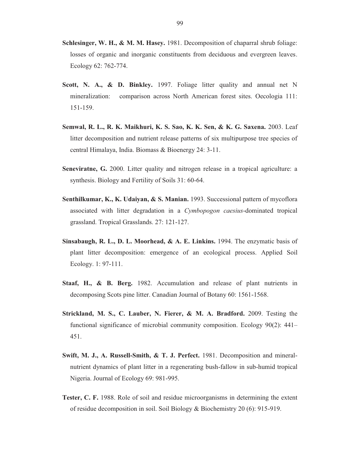- **Schlesinger, W. H., & M. M. Hasey.** 1981. Decomposition of chaparral shrub foliage: losses of organic and inorganic constituents from deciduous and evergreen leaves. Ecology 62: 762-774.
- **Scott, N. A., & D. Binkley.** 1997. Foliage litter quality and annual net N mineralization: comparison across North American forest sites. Oecologia 111: 151-159.
- **Semwal, R. L., R. K. Maikhuri, K. S. Sao, K. K. Sen, & K. G. Saxena.** 2003. Leaf litter decomposition and nutrient release patterns of six multipurpose tree species of central Himalaya, India. Biomass & Bioenergy 24: 3-11.
- **Seneviratne, G.** 2000. Litter quality and nitrogen release in a tropical agriculture: a synthesis. Biology and Fertility of Soils 31: 60-64.
- **Senthilkumar, K., K. Udaiyan, & S. Manian.** 1993. Successional pattern of mycoflora associated with litter degradation in a *Cymbopogon caesius*-dominated tropical grassland. Tropical Grasslands. 27: 121-127.
- **Sinsabaugh, R. L., D. L. Moorhead, & A. E. Linkins.** 1994. The enzymatic basis of plant litter decomposition: emergence of an ecological process. Applied Soil Ecology. 1: 97-111.
- **Staaf, H., & B. Berg.** 1982. Accumulation and release of plant nutrients in decomposing Scots pine litter. Canadian Journal of Botany 60: 1561-1568.
- **Strickland, M. S., C. Lauber, N. Fierer, & M. A. Bradford.** 2009. Testing the functional significance of microbial community composition. Ecology 90(2): 441– 451.
- **Swift, M. J., A. Russell-Smith, & T. J. Perfect.** 1981. Decomposition and mineralnutrient dynamics of plant litter in a regenerating bush-fallow in sub-humid tropical Nigeria. Journal of Ecology 69: 981-995.
- **Tester, C. F.** 1988. Role of soil and residue microorganisms in determining the extent of residue decomposition in soil. Soil Biology & Biochemistry 20 (6): 915-919.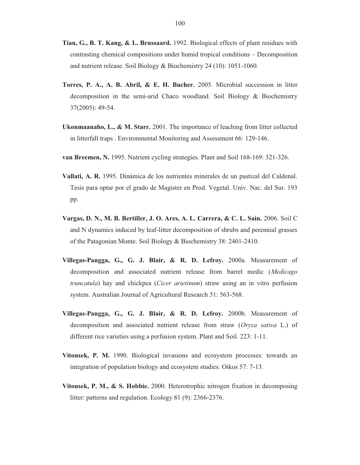- **Tian, G., B. T. Kang, & L. Brussaard.** 1992. Biological effects of plant residues with contrasting chemical compositions under humid tropical conditions – Decomposition and nutrient release. Soil Biology & Biochemistry 24 (10): 1051-1060.
- **Torres, P. A., A. B. Abril, & E. H. Bucher.** 2005. Microbial succession in litter decomposition in the semi-arid Chaco woodland. Soil Biology & Biochemistry 37(2005): 49-54.
- **Ukonmaanaho, L., & M. Starr.** 2001. The importance of leaching from litter collected in litterfall traps . Environmental Monitoring and Assessment 66: 129-146.
- **van Breemen, N.** 1995. Nutrient cycling strategies. Plant and Soil 168-169: 321-326.
- **Vallati, A. R.** 1995. Dinámica de los nutrientes minerales de un pastizal del Caldenal. Tesis para optar por el grado de Magister en Prod. Vegetal. Univ. Nac. del Sur. 193 pp.
- **Vargas, D. N., M. B. Bertiller, J. O. Ares, A. L. Carrera, & C. L. Sain.** 2006. Soil C and N dynamics induced by leaf-litter decomposition of shrubs and perennial grasses of the Patagonian Monte. Soil Biology & Biochemistry 38: 2401-2410.
- **Villegas-Pangga, G., G. J. Blair, & R. D. Lefroy.** 2000a. Measurement of decomposition and associated nutrient release from barrel medic (*Medicago truncatula*) hay and chickpea (*Cicer arietinum*) straw using an in vitro perfusion system. Australian Journal of Agricultural Research 51: 563-568.
- **Villegas-Pangga, G., G. J. Blair, & R. D. Lefroy.** 2000b. Measurement of decomposition and associated nutrient release from straw (*Oryza sativa* L.) of different rice varieties using a perfusion system. Plant and Soil. 223: 1-11.
- **Vitousek, P. M.** 1990. Biological invasions and ecosystem processes: towards an integration of population biology and ecosystem studies. Oikos 57: 7-13.
- **Vitousek, P. M., & S. Hobbie.** 2000. Heterotrophic nitrogen fixation in decomposing litter: patterns and regulation. Ecology 81 (9): 2366-2376.